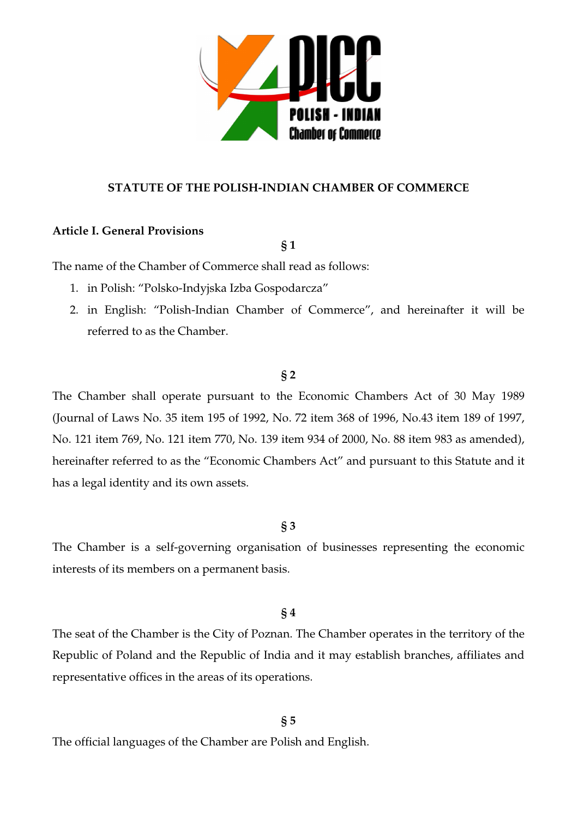

## **STATUTE OF THE POLISH-INDIAN CHAMBER OF COMMERCE**

## **Article I. General Provisions**

**§ 1** 

The name of the Chamber of Commerce shall read as follows:

- 1. in Polish: "Polsko-Indyjska Izba Gospodarcza"
- 2. in English: "Polish-Indian Chamber of Commerce", and hereinafter it will be referred to as the Chamber.

## **§ 2**

The Chamber shall operate pursuant to the Economic Chambers Act of 30 May 1989 (Journal of Laws No. 35 item 195 of 1992, No. 72 item 368 of 1996, No.43 item 189 of 1997, No. 121 item 769, No. 121 item 770, No. 139 item 934 of 2000, No. 88 item 983 as amended), hereinafter referred to as the "Economic Chambers Act" and pursuant to this Statute and it has a legal identity and its own assets.

## **§ 3**

The Chamber is a self-governing organisation of businesses representing the economic interests of its members on a permanent basis.

# **§ 4**

The seat of the Chamber is the City of Poznan. The Chamber operates in the territory of the Republic of Poland and the Republic of India and it may establish branches, affiliates and representative offices in the areas of its operations.

## **§ 5**

The official languages of the Chamber are Polish and English.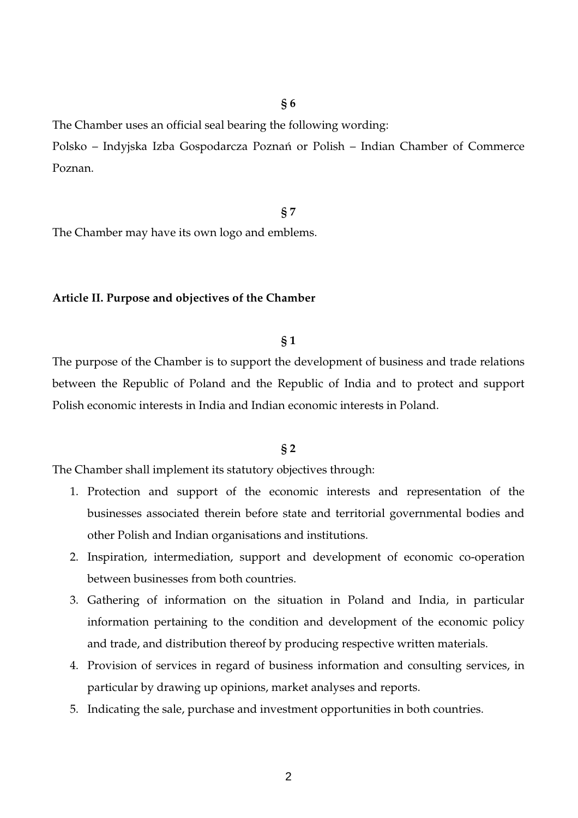The Chamber uses an official seal bearing the following wording:

Polsko – Indyjska Izba Gospodarcza Poznań or Polish – Indian Chamber of Commerce Poznan.

### **§ 7**

The Chamber may have its own logo and emblems.

#### **Article II. Purpose and objectives of the Chamber**

### **§ 1**

The purpose of the Chamber is to support the development of business and trade relations between the Republic of Poland and the Republic of India and to protect and support Polish economic interests in India and Indian economic interests in Poland.

## **§ 2**

The Chamber shall implement its statutory objectives through:

- 1. Protection and support of the economic interests and representation of the businesses associated therein before state and territorial governmental bodies and other Polish and Indian organisations and institutions.
- 2. Inspiration, intermediation, support and development of economic co-operation between businesses from both countries.
- 3. Gathering of information on the situation in Poland and India, in particular information pertaining to the condition and development of the economic policy and trade, and distribution thereof by producing respective written materials.
- 4. Provision of services in regard of business information and consulting services, in particular by drawing up opinions, market analyses and reports.
- 5. Indicating the sale, purchase and investment opportunities in both countries.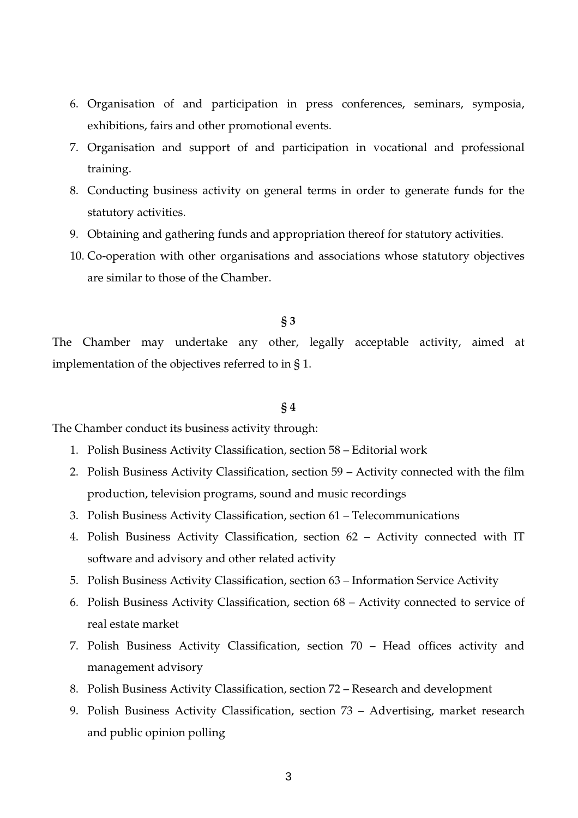- 6. Organisation of and participation in press conferences, seminars, symposia, exhibitions, fairs and other promotional events.
- 7. Organisation and support of and participation in vocational and professional training.
- 8. Conducting business activity on general terms in order to generate funds for the statutory activities.
- 9. Obtaining and gathering funds and appropriation thereof for statutory activities.
- 10. Co-operation with other organisations and associations whose statutory objectives are similar to those of the Chamber.

The Chamber may undertake any other, legally acceptable activity, aimed at implementation of the objectives referred to in § 1.

#### **§ 4**

The Chamber conduct its business activity through:

- 1. Polish Business Activity Classification, section 58 Editorial work
- 2. Polish Business Activity Classification, section 59 Activity connected with the film production, television programs, sound and music recordings
- 3. Polish Business Activity Classification, section 61 Telecommunications
- 4. Polish Business Activity Classification, section 62 Activity connected with IT software and advisory and other related activity
- 5. Polish Business Activity Classification, section 63 Information Service Activity
- 6. Polish Business Activity Classification, section 68 Activity connected to service of real estate market
- 7. Polish Business Activity Classification, section 70 Head offices activity and management advisory
- 8. Polish Business Activity Classification, section 72 Research and development
- 9. Polish Business Activity Classification, section 73 Advertising, market research and public opinion polling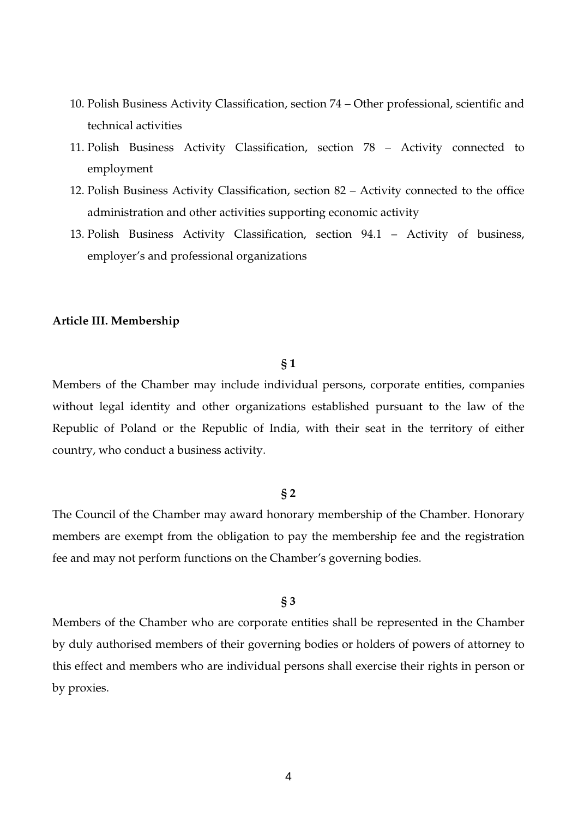- 10. Polish Business Activity Classification, section 74 Other professional, scientific and technical activities
- 11. Polish Business Activity Classification, section 78 Activity connected to employment
- 12. Polish Business Activity Classification, section 82 Activity connected to the office administration and other activities supporting economic activity
- 13. Polish Business Activity Classification, section 94.1 Activity of business, employer's and professional organizations

#### **Article III. Membership**

#### **§ 1**

Members of the Chamber may include individual persons, corporate entities, companies without legal identity and other organizations established pursuant to the law of the Republic of Poland or the Republic of India, with their seat in the territory of either country, who conduct a business activity.

#### **§ 2**

The Council of the Chamber may award honorary membership of the Chamber. Honorary members are exempt from the obligation to pay the membership fee and the registration fee and may not perform functions on the Chamber's governing bodies.

### **§ 3**

Members of the Chamber who are corporate entities shall be represented in the Chamber by duly authorised members of their governing bodies or holders of powers of attorney to this effect and members who are individual persons shall exercise their rights in person or by proxies.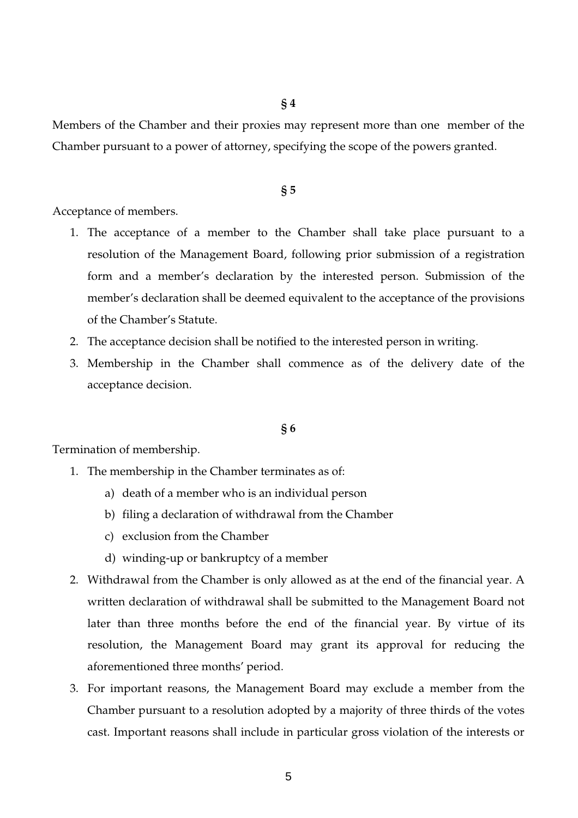Members of the Chamber and their proxies may represent more than one member of the Chamber pursuant to a power of attorney, specifying the scope of the powers granted.

#### **§ 5**

Acceptance of members.

- 1. The acceptance of a member to the Chamber shall take place pursuant to a resolution of the Management Board, following prior submission of a registration form and a member's declaration by the interested person. Submission of the member's declaration shall be deemed equivalent to the acceptance of the provisions of the Chamber's Statute.
- 2. The acceptance decision shall be notified to the interested person in writing.
- 3. Membership in the Chamber shall commence as of the delivery date of the acceptance decision.

#### **§ 6**

Termination of membership.

- 1. The membership in the Chamber terminates as of:
	- a) death of a member who is an individual person
	- b) filing a declaration of withdrawal from the Chamber
	- c) exclusion from the Chamber
	- d) winding-up or bankruptcy of a member
- 2. Withdrawal from the Chamber is only allowed as at the end of the financial year. A written declaration of withdrawal shall be submitted to the Management Board not later than three months before the end of the financial year. By virtue of its resolution, the Management Board may grant its approval for reducing the aforementioned three months' period.
- 3. For important reasons, the Management Board may exclude a member from the Chamber pursuant to a resolution adopted by a majority of three thirds of the votes cast. Important reasons shall include in particular gross violation of the interests or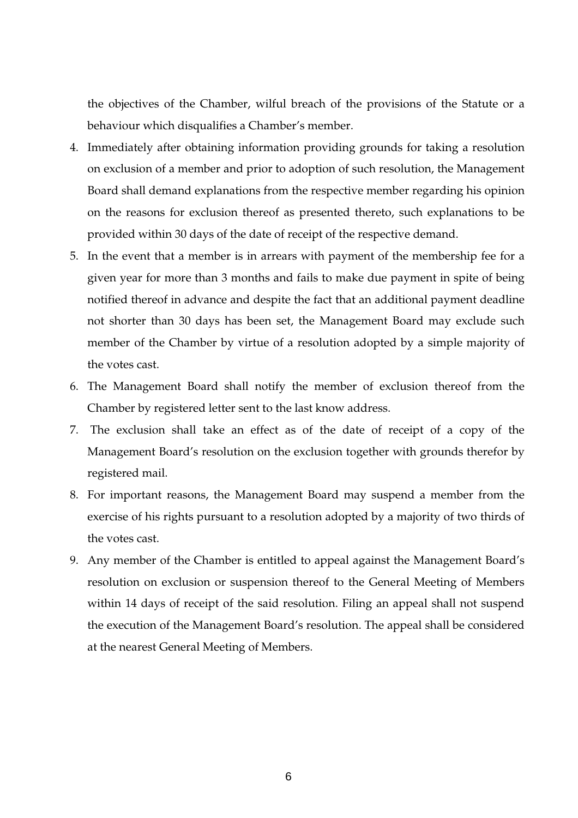the objectives of the Chamber, wilful breach of the provisions of the Statute or a behaviour which disqualifies a Chamber's member.

- 4. Immediately after obtaining information providing grounds for taking a resolution on exclusion of a member and prior to adoption of such resolution, the Management Board shall demand explanations from the respective member regarding his opinion on the reasons for exclusion thereof as presented thereto, such explanations to be provided within 30 days of the date of receipt of the respective demand.
- 5. In the event that a member is in arrears with payment of the membership fee for a given year for more than 3 months and fails to make due payment in spite of being notified thereof in advance and despite the fact that an additional payment deadline not shorter than 30 days has been set, the Management Board may exclude such member of the Chamber by virtue of a resolution adopted by a simple majority of the votes cast.
- 6. The Management Board shall notify the member of exclusion thereof from the Chamber by registered letter sent to the last know address.
- 7. The exclusion shall take an effect as of the date of receipt of a copy of the Management Board's resolution on the exclusion together with grounds therefor by registered mail.
- 8. For important reasons, the Management Board may suspend a member from the exercise of his rights pursuant to a resolution adopted by a majority of two thirds of the votes cast.
- 9. Any member of the Chamber is entitled to appeal against the Management Board's resolution on exclusion or suspension thereof to the General Meeting of Members within 14 days of receipt of the said resolution. Filing an appeal shall not suspend the execution of the Management Board's resolution. The appeal shall be considered at the nearest General Meeting of Members.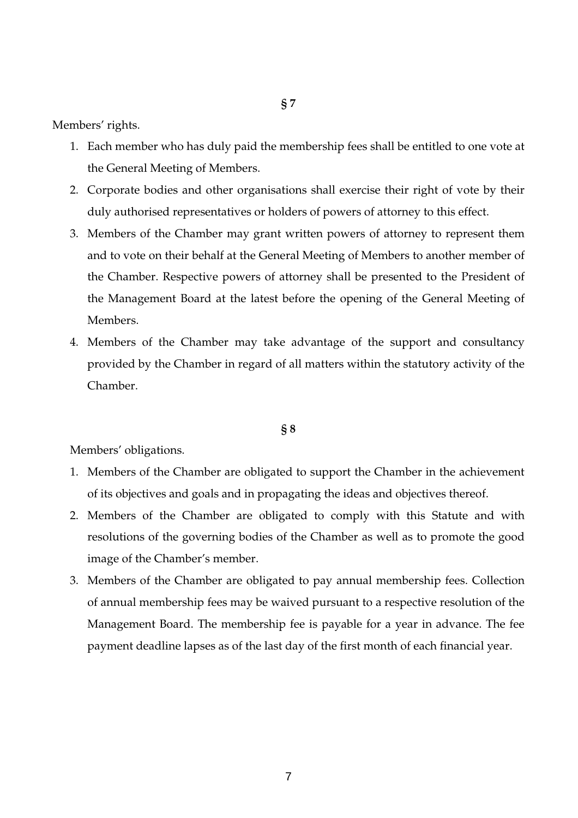Members' rights.

- 1. Each member who has duly paid the membership fees shall be entitled to one vote at the General Meeting of Members.
- 2. Corporate bodies and other organisations shall exercise their right of vote by their duly authorised representatives or holders of powers of attorney to this effect.
- 3. Members of the Chamber may grant written powers of attorney to represent them and to vote on their behalf at the General Meeting of Members to another member of the Chamber. Respective powers of attorney shall be presented to the President of the Management Board at the latest before the opening of the General Meeting of Members.
- 4. Members of the Chamber may take advantage of the support and consultancy provided by the Chamber in regard of all matters within the statutory activity of the Chamber.

#### **§ 8**

Members' obligations.

- 1. Members of the Chamber are obligated to support the Chamber in the achievement of its objectives and goals and in propagating the ideas and objectives thereof.
- 2. Members of the Chamber are obligated to comply with this Statute and with resolutions of the governing bodies of the Chamber as well as to promote the good image of the Chamber's member.
- 3. Members of the Chamber are obligated to pay annual membership fees. Collection of annual membership fees may be waived pursuant to a respective resolution of the Management Board. The membership fee is payable for a year in advance. The fee payment deadline lapses as of the last day of the first month of each financial year.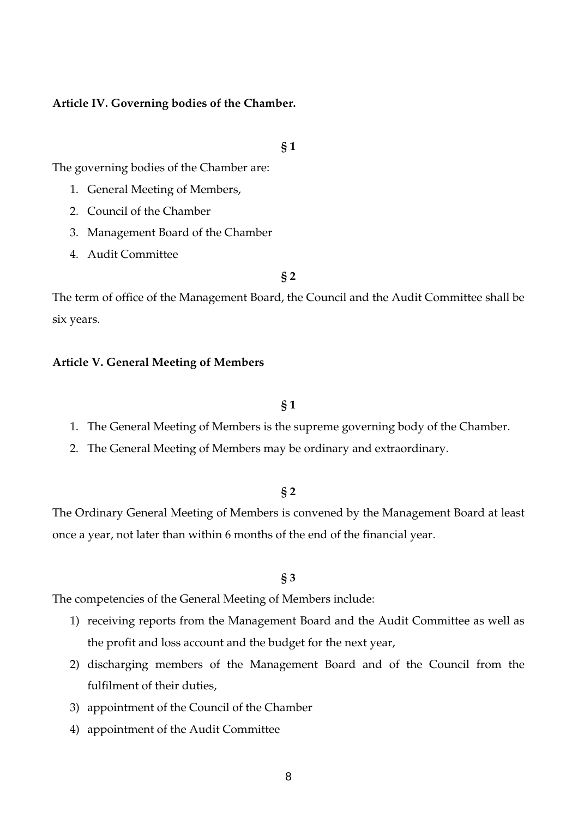## **Article IV. Governing bodies of the Chamber.**

#### **§ 1**

The governing bodies of the Chamber are:

- 1. General Meeting of Members,
- 2. Council of the Chamber
- 3. Management Board of the Chamber
- 4. Audit Committee

## **§ 2**

The term of office of the Management Board, the Council and the Audit Committee shall be six years.

#### **Article V. General Meeting of Members**

### **§ 1**

- 1. The General Meeting of Members is the supreme governing body of the Chamber.
- 2. The General Meeting of Members may be ordinary and extraordinary.

#### **§ 2**

The Ordinary General Meeting of Members is convened by the Management Board at least once a year, not later than within 6 months of the end of the financial year.

### **§ 3**

The competencies of the General Meeting of Members include:

- 1) receiving reports from the Management Board and the Audit Committee as well as the profit and loss account and the budget for the next year,
- 2) discharging members of the Management Board and of the Council from the fulfilment of their duties,
- 3) appointment of the Council of the Chamber
- 4) appointment of the Audit Committee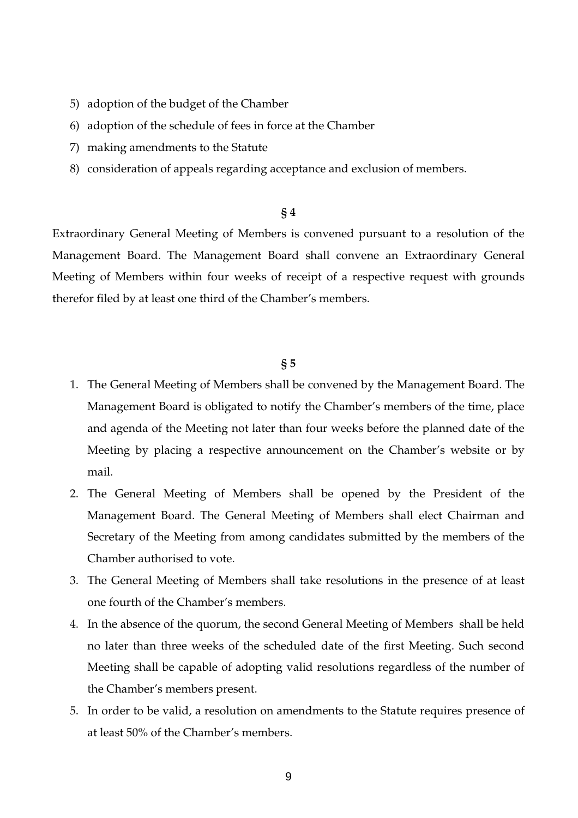- 5) adoption of the budget of the Chamber
- 6) adoption of the schedule of fees in force at the Chamber
- 7) making amendments to the Statute
- 8) consideration of appeals regarding acceptance and exclusion of members.

Extraordinary General Meeting of Members is convened pursuant to a resolution of the Management Board. The Management Board shall convene an Extraordinary General Meeting of Members within four weeks of receipt of a respective request with grounds therefor filed by at least one third of the Chamber's members.

## **§ 5**

- 1. The General Meeting of Members shall be convened by the Management Board. The Management Board is obligated to notify the Chamber's members of the time, place and agenda of the Meeting not later than four weeks before the planned date of the Meeting by placing a respective announcement on the Chamber's website or by mail.
- 2. The General Meeting of Members shall be opened by the President of the Management Board. The General Meeting of Members shall elect Chairman and Secretary of the Meeting from among candidates submitted by the members of the Chamber authorised to vote.
- 3. The General Meeting of Members shall take resolutions in the presence of at least one fourth of the Chamber's members.
- 4. In the absence of the quorum, the second General Meeting of Members shall be held no later than three weeks of the scheduled date of the first Meeting. Such second Meeting shall be capable of adopting valid resolutions regardless of the number of the Chamber's members present.
- 5. In order to be valid, a resolution on amendments to the Statute requires presence of at least 50% of the Chamber's members.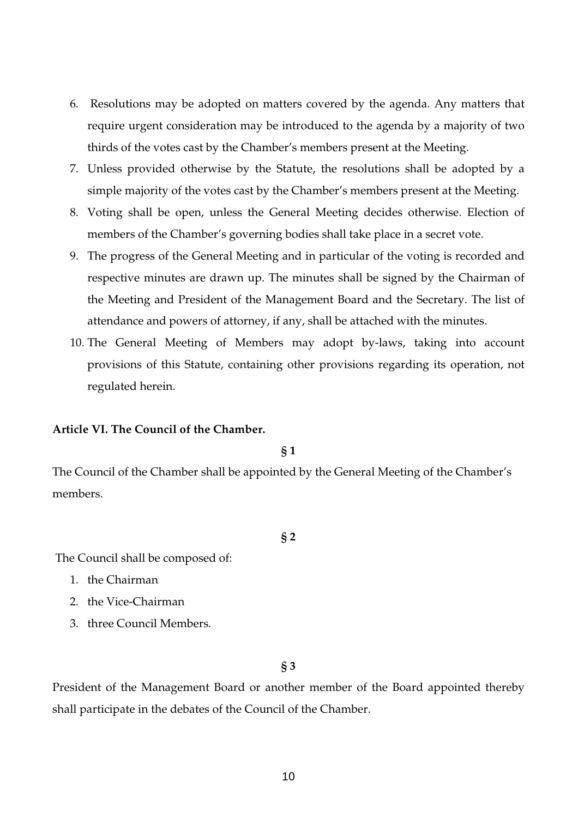- 6. Resolutions may be adopted on matters covered by the agenda. Any matters that require urgent consideration may be introduced to the agenda by a majority of two thirds of the votes cast by the Chamber's members present at the Meeting.
- 7. Unless provided otherwise by the Statute, the resolutions shall be adopted by a simple majority of the votes cast by the Chamber's members present at the Meeting.
- 8. Voting shall be open, unless the General Meeting decides otherwise. Election of members of the Chamber's governing bodies shall take place in a secret vote.
- 9. The progress of the General Meeting and in particular of the voting is recorded and respective minutes are drawn up. The minutes shall be signed by the Chairman of the Meeting and President of the Management Board and the Secretary. The list of attendance and powers of attorney, if any, shall be attached with the minutes.
- 10. The General Meeting of Members may adopt by-laws, taking into account provisions of this Statute, containing other provisions regarding its operation, not regulated herein.

## **Article VI. The Council of the Chamber.**

**§ 1** 

The Council of the Chamber shall be appointed by the General Meeting of the Chamber's members.

### **§ 2**

The Council shall be composed of:

- 1. the Chairman
- 2. the Vice-Chairman
- 3. three Council Members.

**§ 3** 

President of the Management Board or another member of the Board appointed thereby shall participate in the debates of the Council of the Chamber.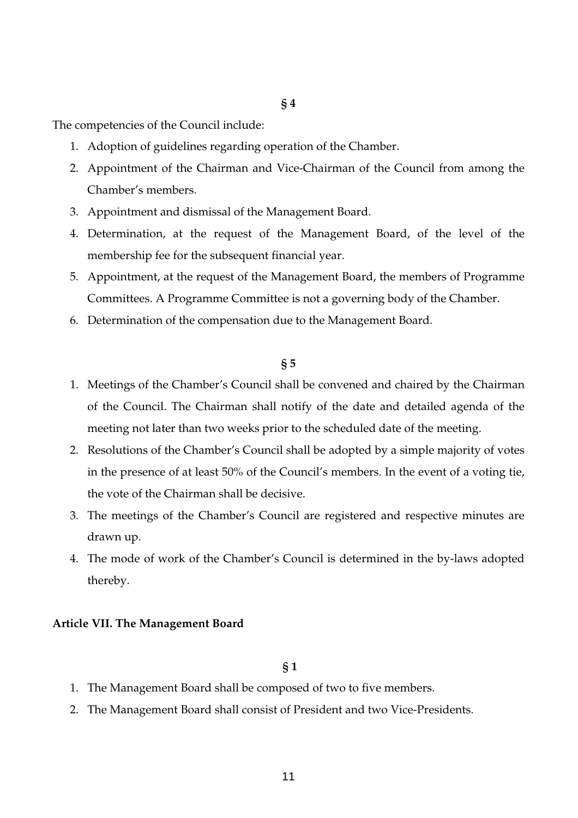The competencies of the Council include:

- 1. Adoption of guidelines regarding operation of the Chamber.
- 2. Appointment of the Chairman and Vice-Chairman of the Council from among the Chamber's members.
- 3. Appointment and dismissal of the Management Board.
- 4. Determination, at the request of the Management Board, of the level of the membership fee for the subsequent financial year.
- 5. Appointment, at the request of the Management Board, the members of Programme Committees. A Programme Committee is not a governing body of the Chamber.
- 6. Determination of the compensation due to the Management Board.

#### **§ 5**

- 1. Meetings of the Chamber's Council shall be convened and chaired by the Chairman of the Council. The Chairman shall notify of the date and detailed agenda of the meeting not later than two weeks prior to the scheduled date of the meeting.
- 2. Resolutions of the Chamber's Council shall be adopted by a simple majority of votes in the presence of at least 50% of the Council's members. In the event of a voting tie, the vote of the Chairman shall be decisive.
- 3. The meetings of the Chamber's Council are registered and respective minutes are drawn up.
- 4. The mode of work of the Chamber's Council is determined in the by-laws adopted thereby.

#### **Article VII. The Management Board**

## **§ 1**

- 1. The Management Board shall be composed of two to five members.
- 2. The Management Board shall consist of President and two Vice-Presidents.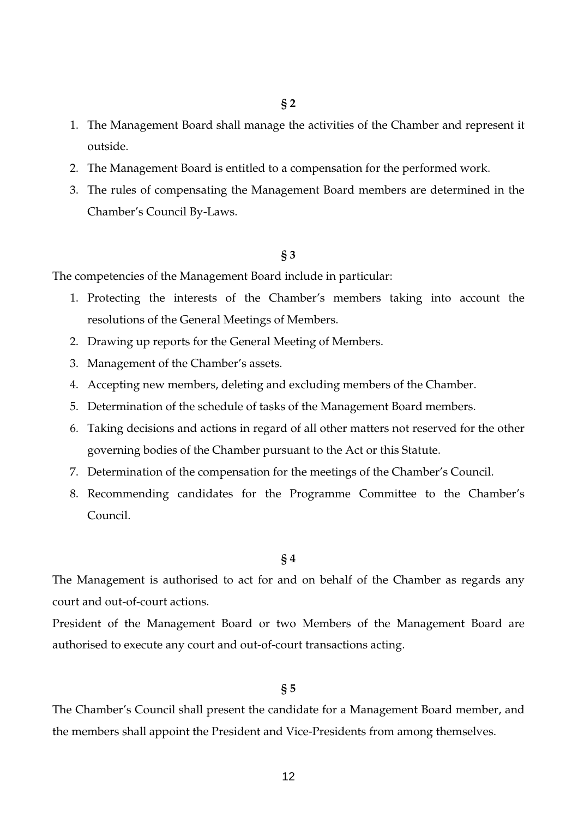- 1. The Management Board shall manage the activities of the Chamber and represent it outside.
- 2. The Management Board is entitled to a compensation for the performed work.
- 3. The rules of compensating the Management Board members are determined in the Chamber's Council By-Laws.

The competencies of the Management Board include in particular:

- 1. Protecting the interests of the Chamber's members taking into account the resolutions of the General Meetings of Members.
- 2. Drawing up reports for the General Meeting of Members.
- 3. Management of the Chamber's assets.
- 4. Accepting new members, deleting and excluding members of the Chamber.
- 5. Determination of the schedule of tasks of the Management Board members.
- 6. Taking decisions and actions in regard of all other matters not reserved for the other governing bodies of the Chamber pursuant to the Act or this Statute.
- 7. Determination of the compensation for the meetings of the Chamber's Council.
- 8. Recommending candidates for the Programme Committee to the Chamber's Council.

#### **§ 4**

The Management is authorised to act for and on behalf of the Chamber as regards any court and out-of-court actions.

President of the Management Board or two Members of the Management Board are authorised to execute any court and out-of-court transactions acting.

## **§ 5**

The Chamber's Council shall present the candidate for a Management Board member, and the members shall appoint the President and Vice-Presidents from among themselves.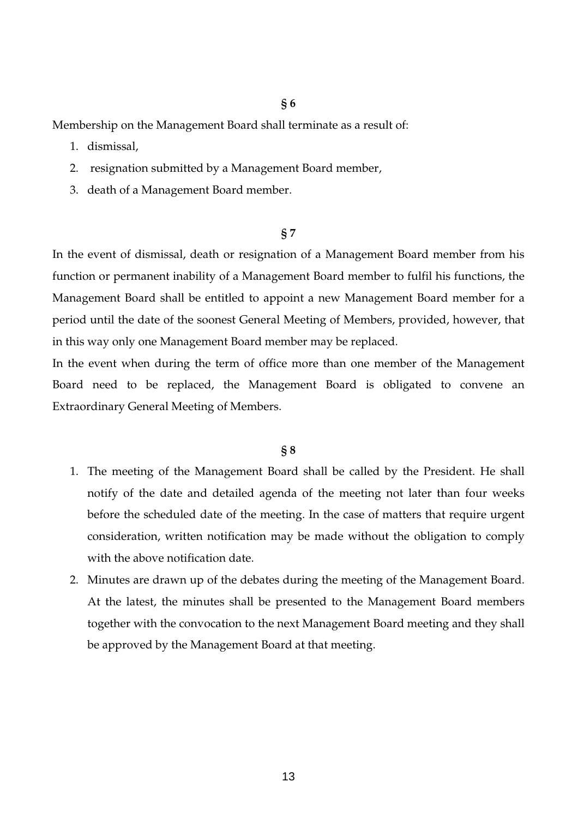Membership on the Management Board shall terminate as a result of:

- 1. dismissal,
- 2. resignation submitted by a Management Board member,
- 3. death of a Management Board member.

## **§ 7**

In the event of dismissal, death or resignation of a Management Board member from his function or permanent inability of a Management Board member to fulfil his functions, the Management Board shall be entitled to appoint a new Management Board member for a period until the date of the soonest General Meeting of Members, provided, however, that in this way only one Management Board member may be replaced.

In the event when during the term of office more than one member of the Management Board need to be replaced, the Management Board is obligated to convene an Extraordinary General Meeting of Members.

#### **§ 8**

- 1. The meeting of the Management Board shall be called by the President. He shall notify of the date and detailed agenda of the meeting not later than four weeks before the scheduled date of the meeting. In the case of matters that require urgent consideration, written notification may be made without the obligation to comply with the above notification date.
- 2. Minutes are drawn up of the debates during the meeting of the Management Board. At the latest, the minutes shall be presented to the Management Board members together with the convocation to the next Management Board meeting and they shall be approved by the Management Board at that meeting.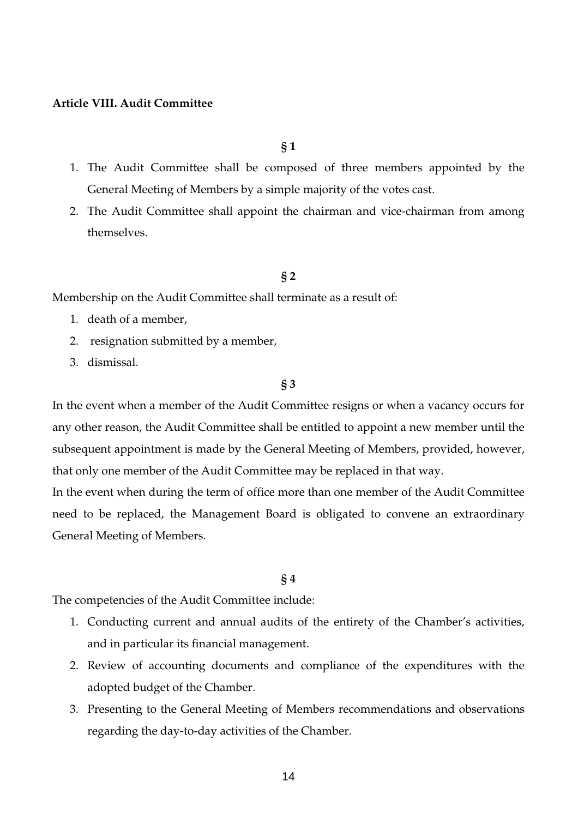## **Article VIII. Audit Committee**

**§ 1** 

- 1. The Audit Committee shall be composed of three members appointed by the General Meeting of Members by a simple majority of the votes cast.
- 2. The Audit Committee shall appoint the chairman and vice-chairman from among themselves.

### **§ 2**

Membership on the Audit Committee shall terminate as a result of:

- 1. death of a member,
- 2. resignation submitted by a member,
- 3. dismissal.

### **§ 3**

In the event when a member of the Audit Committee resigns or when a vacancy occurs for any other reason, the Audit Committee shall be entitled to appoint a new member until the subsequent appointment is made by the General Meeting of Members, provided, however, that only one member of the Audit Committee may be replaced in that way.

In the event when during the term of office more than one member of the Audit Committee need to be replaced, the Management Board is obligated to convene an extraordinary General Meeting of Members.

### **§ 4**

The competencies of the Audit Committee include:

- 1. Conducting current and annual audits of the entirety of the Chamber's activities, and in particular its financial management.
- 2. Review of accounting documents and compliance of the expenditures with the adopted budget of the Chamber.
- 3. Presenting to the General Meeting of Members recommendations and observations regarding the day-to-day activities of the Chamber.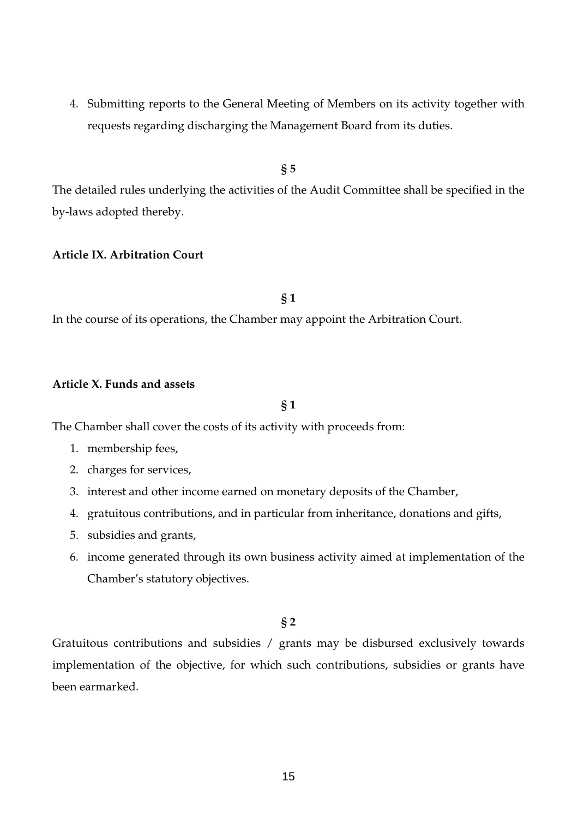4. Submitting reports to the General Meeting of Members on its activity together with requests regarding discharging the Management Board from its duties.

**§ 5** 

The detailed rules underlying the activities of the Audit Committee shall be specified in the by-laws adopted thereby.

## **Article IX. Arbitration Court**

**§ 1** 

In the course of its operations, the Chamber may appoint the Arbitration Court.

## **Article X. Funds and assets**

## **§ 1**

The Chamber shall cover the costs of its activity with proceeds from:

- 1. membership fees,
- 2. charges for services,
- 3. interest and other income earned on monetary deposits of the Chamber,
- 4. gratuitous contributions, and in particular from inheritance, donations and gifts,
- 5. subsidies and grants,
- 6. income generated through its own business activity aimed at implementation of the Chamber's statutory objectives.

## **§ 2**

Gratuitous contributions and subsidies / grants may be disbursed exclusively towards implementation of the objective, for which such contributions, subsidies or grants have been earmarked.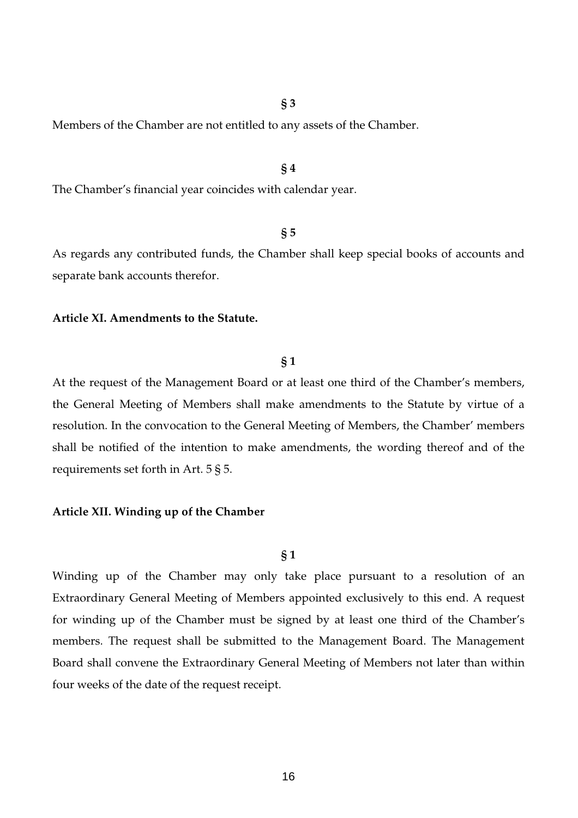Members of the Chamber are not entitled to any assets of the Chamber.

#### **§ 4**

The Chamber's financial year coincides with calendar year.

#### **§ 5**

As regards any contributed funds, the Chamber shall keep special books of accounts and separate bank accounts therefor.

#### **Article XI. Amendments to the Statute.**

## **§ 1**

At the request of the Management Board or at least one third of the Chamber's members, the General Meeting of Members shall make amendments to the Statute by virtue of a resolution. In the convocation to the General Meeting of Members, the Chamber' members shall be notified of the intention to make amendments, the wording thereof and of the requirements set forth in Art. 5 § 5.

### **Article XII. Winding up of the Chamber**

#### **§ 1**

Winding up of the Chamber may only take place pursuant to a resolution of an Extraordinary General Meeting of Members appointed exclusively to this end. A request for winding up of the Chamber must be signed by at least one third of the Chamber's members. The request shall be submitted to the Management Board. The Management Board shall convene the Extraordinary General Meeting of Members not later than within four weeks of the date of the request receipt.